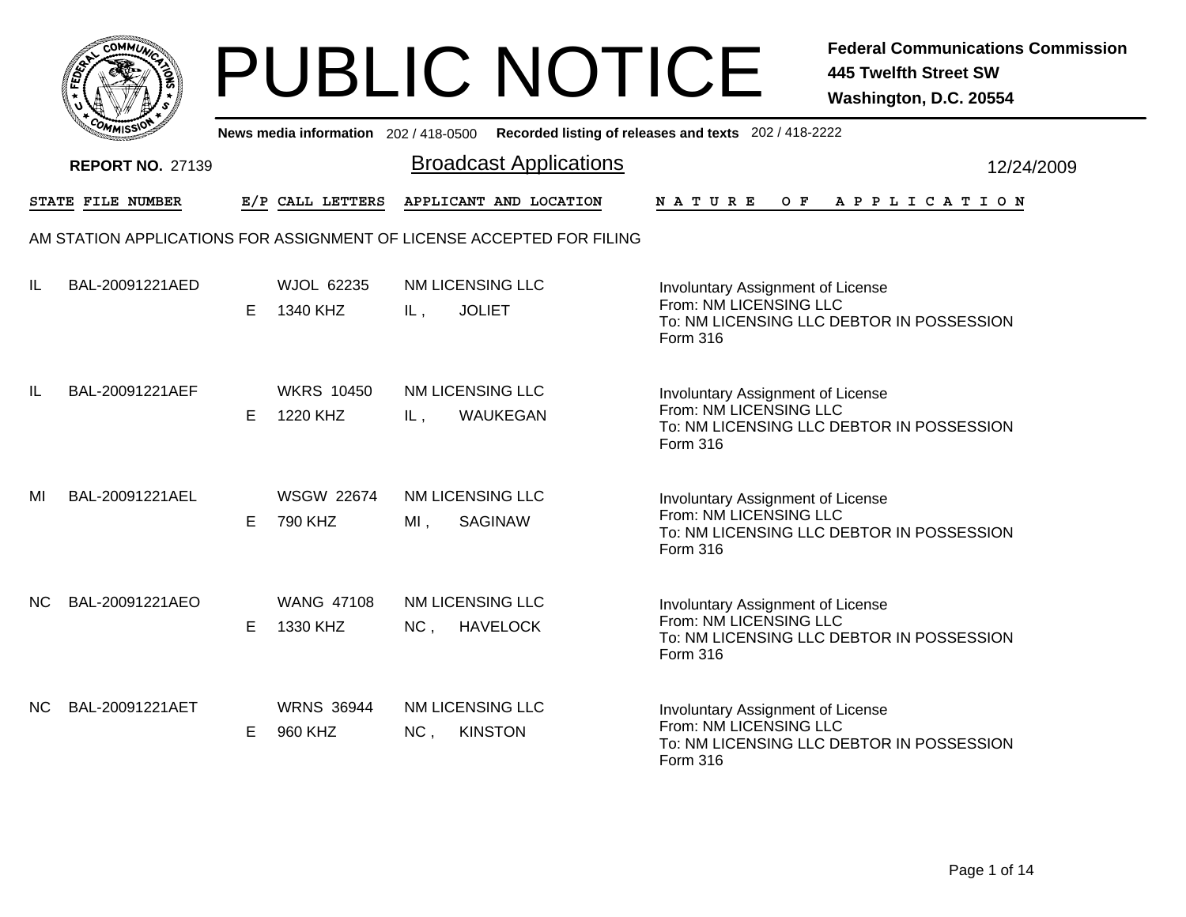| OMMUL                    |                                     | <b>PUBLIC NOTICE</b>                                                                        | <b>Federal Communications Commission</b><br><b>445 Twelfth Street SW</b><br>Washington, D.C. 20554                          |
|--------------------------|-------------------------------------|---------------------------------------------------------------------------------------------|-----------------------------------------------------------------------------------------------------------------------------|
|                          |                                     | News media information 202 / 418-0500 Recorded listing of releases and texts 202 / 418-2222 |                                                                                                                             |
| <b>REPORT NO. 27139</b>  |                                     | <b>Broadcast Applications</b>                                                               | 12/24/2009                                                                                                                  |
| <b>STATE FILE NUMBER</b> | E/P CALL LETTERS                    | APPLICANT AND LOCATION                                                                      | N A T U R E<br>O F<br>A P P L I C A T I O N                                                                                 |
|                          |                                     | AM STATION APPLICATIONS FOR ASSIGNMENT OF LICENSE ACCEPTED FOR FILING                       |                                                                                                                             |
| IL.<br>BAL-20091221AED   | <b>WJOL 62235</b><br>1340 KHZ<br>E. | <b>NM LICENSING LLC</b><br><b>JOLIET</b><br>IL,                                             | Involuntary Assignment of License<br>From: NM LICENSING LLC<br>To: NM LICENSING LLC DEBTOR IN POSSESSION<br><b>Form 316</b> |
| IL<br>BAL-20091221AEF    | <b>WKRS 10450</b><br>1220 KHZ<br>E. | NM LICENSING LLC<br>WAUKEGAN<br>IL,                                                         | Involuntary Assignment of License<br>From: NM LICENSING LLC<br>To: NM LICENSING LLC DEBTOR IN POSSESSION<br>Form 316        |
| MI<br>BAL-20091221AEL    | <b>WSGW 22674</b><br>790 KHZ<br>E.  | NM LICENSING LLC<br>$MI$ ,<br><b>SAGINAW</b>                                                | Involuntary Assignment of License<br>From: NM LICENSING LLC<br>To: NM LICENSING LLC DEBTOR IN POSSESSION<br>Form 316        |
| NC.<br>BAL-20091221AEO   | <b>WANG 47108</b><br>1330 KHZ<br>E. | NM LICENSING LLC<br>NC, HAVELOCK                                                            | Involuntary Assignment of License<br>From: NM LICENSING LLC<br>To: NM LICENSING LLC DEBTOR IN POSSESSION<br><b>Form 316</b> |
| BAL-20091221AET<br>NC.   | <b>WRNS 36944</b><br>960 KHZ<br>E.  | NM LICENSING LLC<br>NC,<br><b>KINSTON</b>                                                   | Involuntary Assignment of License<br>From: NM LICENSING LLC<br>To: NM LICENSING LLC DEBTOR IN POSSESSION<br>Form 316        |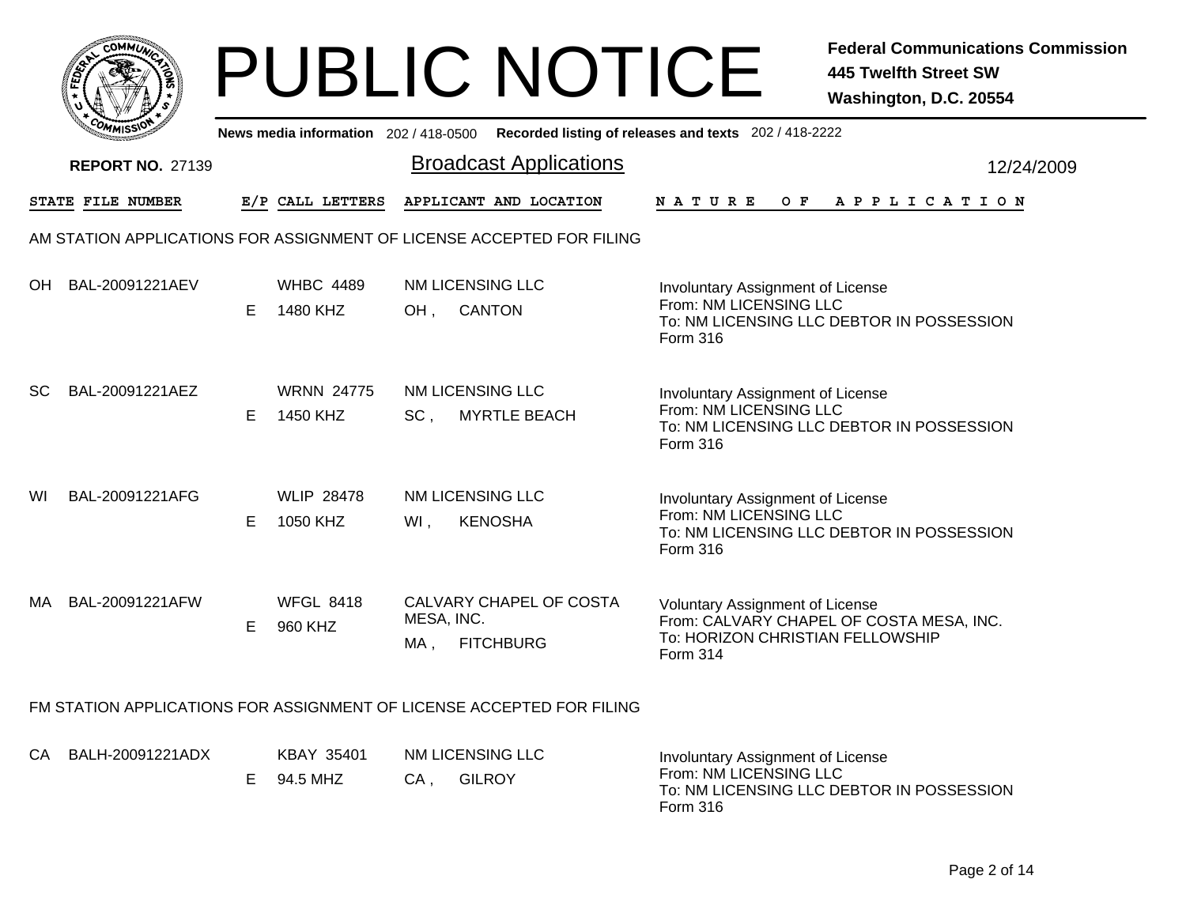| <b>COMMUNT</b><br>e                         |  |
|---------------------------------------------|--|
| ۰<br>FEDEY<br>v                             |  |
|                                             |  |
| $c_{O_{\textit{M1}}}$<br>n<br>MISS'<br>muce |  |

|           | <b>MMISS</b>            |   |                               |                   |                                                                       | News media information 202 / 418-0500 Recorded listing of releases and texts 202 / 418-2222                                        |  |
|-----------|-------------------------|---|-------------------------------|-------------------|-----------------------------------------------------------------------|------------------------------------------------------------------------------------------------------------------------------------|--|
|           | <b>REPORT NO. 27139</b> |   |                               |                   | <b>Broadcast Applications</b>                                         | 12/24/2009                                                                                                                         |  |
|           | STATE FILE NUMBER       |   | E/P CALL LETTERS              |                   | APPLICANT AND LOCATION                                                | <b>NATURE</b><br>OF APPLICATION                                                                                                    |  |
|           |                         |   |                               |                   | AM STATION APPLICATIONS FOR ASSIGNMENT OF LICENSE ACCEPTED FOR FILING |                                                                                                                                    |  |
| <b>OH</b> | BAL-20091221AEV         | E | <b>WHBC 4489</b><br>1480 KHZ  | OH,               | <b>NM LICENSING LLC</b><br><b>CANTON</b>                              | Involuntary Assignment of License<br>From: NM LICENSING LLC<br>To: NM LICENSING LLC DEBTOR IN POSSESSION<br>Form 316               |  |
| <b>SC</b> | BAL-20091221AEZ         | E | <b>WRNN 24775</b><br>1450 KHZ | $SC$ ,            | <b>NM LICENSING LLC</b><br><b>MYRTLE BEACH</b>                        | Involuntary Assignment of License<br>From: NM LICENSING LLC<br>To: NM LICENSING LLC DEBTOR IN POSSESSION<br>Form 316               |  |
| WI        | BAL-20091221AFG         | E | <b>WLIP 28478</b><br>1050 KHZ | WI,               | <b>NM LICENSING LLC</b><br><b>KENOSHA</b>                             | Involuntary Assignment of License<br>From: NM LICENSING LLC<br>To: NM LICENSING LLC DEBTOR IN POSSESSION<br>Form 316               |  |
| MA.       | BAL-20091221AFW         | Е | <b>WFGL 8418</b><br>960 KHZ   | MESA, INC.<br>MA, | CALVARY CHAPEL OF COSTA<br><b>FITCHBURG</b>                           | <b>Voluntary Assignment of License</b><br>From: CALVARY CHAPEL OF COSTA MESA, INC.<br>To: HORIZON CHRISTIAN FELLOWSHIP<br>Form 314 |  |
|           |                         |   |                               |                   | FM STATION APPLICATIONS FOR ASSIGNMENT OF LICENSE ACCEPTED FOR FILING |                                                                                                                                    |  |
|           | CA BALH-20091221ADX     |   | <b>KBAY 35401</b>             |                   | NM LICENSING LLC                                                      | Involuntary Assignment of License                                                                                                  |  |

| A BALH-20091221ADX | KBAY 35401             |    | NM LICENSING LLC | Involuntary Assignment of License                                               |
|--------------------|------------------------|----|------------------|---------------------------------------------------------------------------------|
|                    | $E = 94.5 \text{ MHz}$ | CA | <b>GILROY</b>    | From: NM LICENSING LLC<br>To: NM LICENSING LLC DEBTOR IN POSSESSION<br>Form 316 |
|                    |                        |    |                  |                                                                                 |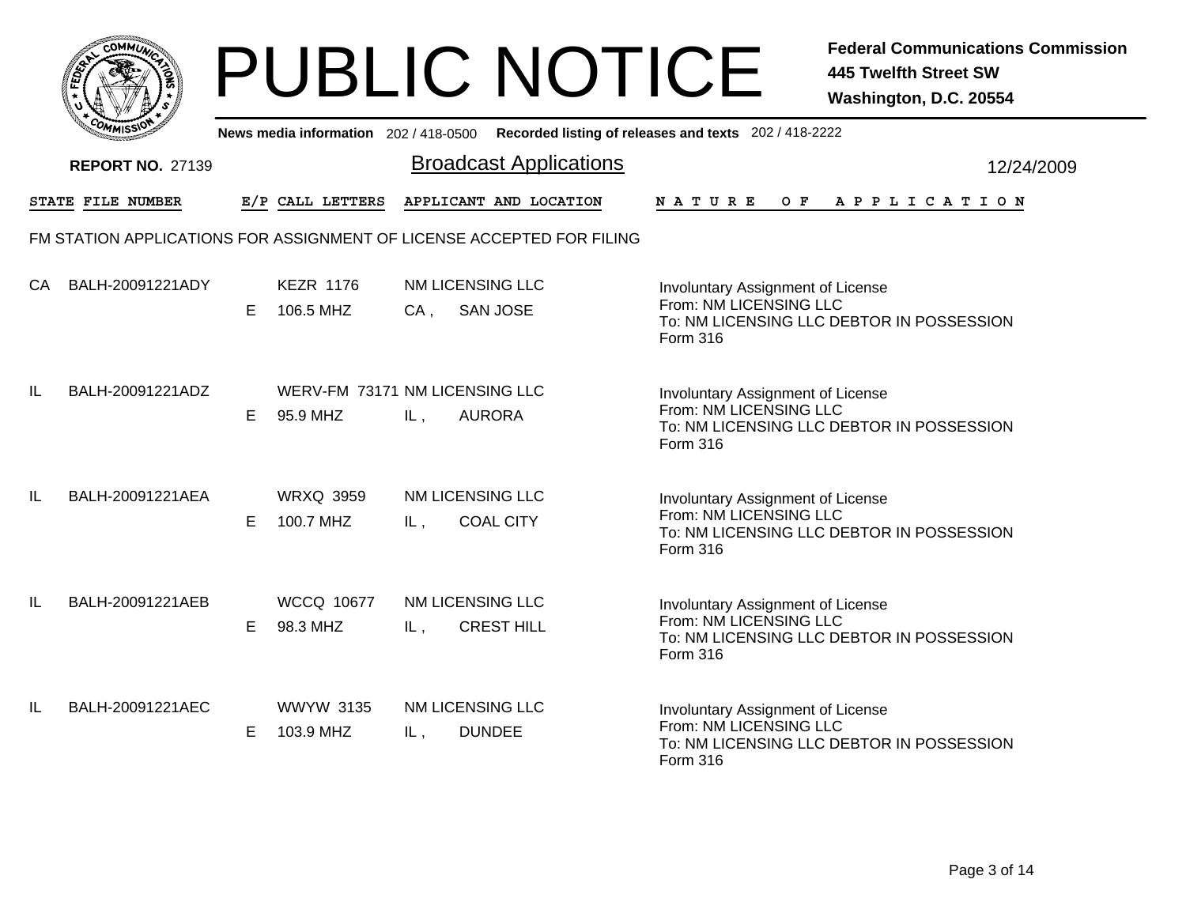|     | MMUNICT<br><b>CO</b> |  |
|-----|----------------------|--|
| ప్త |                      |  |
|     |                      |  |
|     | COMI<br>MISS<br>m    |  |

|    | ככוומיי                 |    |                               | News media information 202/418-0500 Recorded listing of releases and texts 202/418-2222 |                                                                                                                      |
|----|-------------------------|----|-------------------------------|-----------------------------------------------------------------------------------------|----------------------------------------------------------------------------------------------------------------------|
|    | <b>REPORT NO. 27139</b> |    |                               | <b>Broadcast Applications</b>                                                           | 12/24/2009                                                                                                           |
|    | STATE FILE NUMBER       |    | E/P CALL LETTERS              | APPLICANT AND LOCATION                                                                  | <b>NATURE</b><br>O F<br>A P P L I C A T I O N                                                                        |
|    |                         |    |                               | FM STATION APPLICATIONS FOR ASSIGNMENT OF LICENSE ACCEPTED FOR FILING                   |                                                                                                                      |
| CA | BALH-20091221ADY        | E  | <b>KEZR 1176</b><br>106.5 MHZ | NM LICENSING LLC<br><b>SAN JOSE</b><br>$CA$ ,                                           | Involuntary Assignment of License<br>From: NM LICENSING LLC<br>To: NM LICENSING LLC DEBTOR IN POSSESSION<br>Form 316 |
| IL | BALH-20091221ADZ        | E. | 95.9 MHZ                      | WERV-FM 73171 NM LICENSING LLC<br><b>AURORA</b><br>IL,                                  | Involuntary Assignment of License<br>From: NM LICENSING LLC<br>To: NM LICENSING LLC DEBTOR IN POSSESSION<br>Form 316 |
| IL | BALH-20091221AEA        | E  | <b>WRXQ 3959</b><br>100.7 MHZ | NM LICENSING LLC<br><b>COAL CITY</b><br>IL,                                             | Involuntary Assignment of License<br>From: NM LICENSING LLC<br>To: NM LICENSING LLC DEBTOR IN POSSESSION<br>Form 316 |
| IL | BALH-20091221AEB        | E. | <b>WCCQ 10677</b><br>98.3 MHZ | NM LICENSING LLC<br><b>CREST HILL</b><br>IL,                                            | Involuntary Assignment of License<br>From: NM LICENSING LLC<br>To: NM LICENSING LLC DEBTOR IN POSSESSION<br>Form 316 |
| IL | BALH-20091221AEC        | Е  | <b>WWYW 3135</b><br>103.9 MHZ | NM LICENSING LLC<br><b>DUNDEE</b><br>IL,                                                | Involuntary Assignment of License<br>From: NM LICENSING LLC<br>To: NM LICENSING LLC DEBTOR IN POSSESSION<br>Form 316 |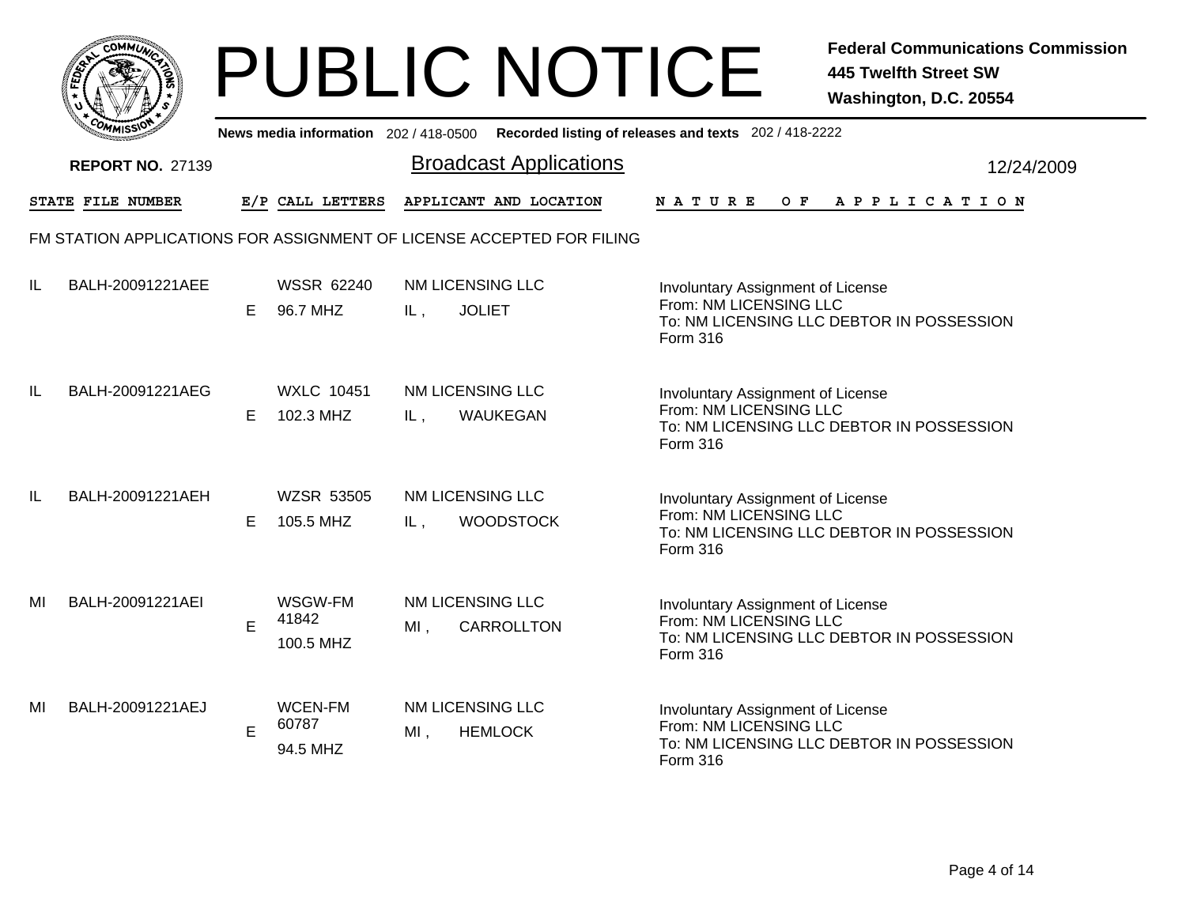|           | MMUNICT<br><b>CO</b> |  |
|-----------|----------------------|--|
| ট্রু<br>c |                      |  |
|           |                      |  |
| COMI      | MISS                 |  |

|    | יככוומדי                |   |                                     |                            | News media information 202/418-0500 Recorded listing of releases and texts 202/418-2222 |                                                                                                                      |  |     |                       |  |  |  |            |
|----|-------------------------|---|-------------------------------------|----------------------------|-----------------------------------------------------------------------------------------|----------------------------------------------------------------------------------------------------------------------|--|-----|-----------------------|--|--|--|------------|
|    | <b>REPORT NO. 27139</b> |   |                                     |                            | <b>Broadcast Applications</b>                                                           |                                                                                                                      |  |     |                       |  |  |  | 12/24/2009 |
|    | STATE FILE NUMBER       |   | E/P CALL LETTERS                    |                            | APPLICANT AND LOCATION                                                                  | <b>NATURE</b>                                                                                                        |  | O F | A P P L I C A T I O N |  |  |  |            |
|    |                         |   |                                     |                            | FM STATION APPLICATIONS FOR ASSIGNMENT OF LICENSE ACCEPTED FOR FILING                   |                                                                                                                      |  |     |                       |  |  |  |            |
| IL | BALH-20091221AEE        | Е | <b>WSSR 62240</b><br>96.7 MHZ       | NM LICENSING LLC<br>IL,    | <b>JOLIET</b>                                                                           | Involuntary Assignment of License<br>From: NM LICENSING LLC<br>To: NM LICENSING LLC DEBTOR IN POSSESSION<br>Form 316 |  |     |                       |  |  |  |            |
| IL | BALH-20091221AEG        | E | <b>WXLC 10451</b><br>102.3 MHZ      | NM LICENSING LLC<br>IL,    | WAUKEGAN                                                                                | Involuntary Assignment of License<br>From: NM LICENSING LLC<br>To: NM LICENSING LLC DEBTOR IN POSSESSION<br>Form 316 |  |     |                       |  |  |  |            |
| IL | BALH-20091221AEH        | Е | <b>WZSR 53505</b><br>105.5 MHZ      | NM LICENSING LLC<br>IL,    | <b>WOODSTOCK</b>                                                                        | Involuntary Assignment of License<br>From: NM LICENSING LLC<br>To: NM LICENSING LLC DEBTOR IN POSSESSION<br>Form 316 |  |     |                       |  |  |  |            |
| MI | BALH-20091221AEI        | E | WSGW-FM<br>41842<br>100.5 MHZ       | NM LICENSING LLC<br>$MI$ , | <b>CARROLLTON</b>                                                                       | Involuntary Assignment of License<br>From: NM LICENSING LLC<br>To: NM LICENSING LLC DEBTOR IN POSSESSION<br>Form 316 |  |     |                       |  |  |  |            |
| MI | BALH-20091221AEJ        | E | <b>WCEN-FM</b><br>60787<br>94.5 MHZ | NM LICENSING LLC<br>$MI$ , | <b>HEMLOCK</b>                                                                          | Involuntary Assignment of License<br>From: NM LICENSING LLC<br>To: NM LICENSING LLC DEBTOR IN POSSESSION<br>Form 316 |  |     |                       |  |  |  |            |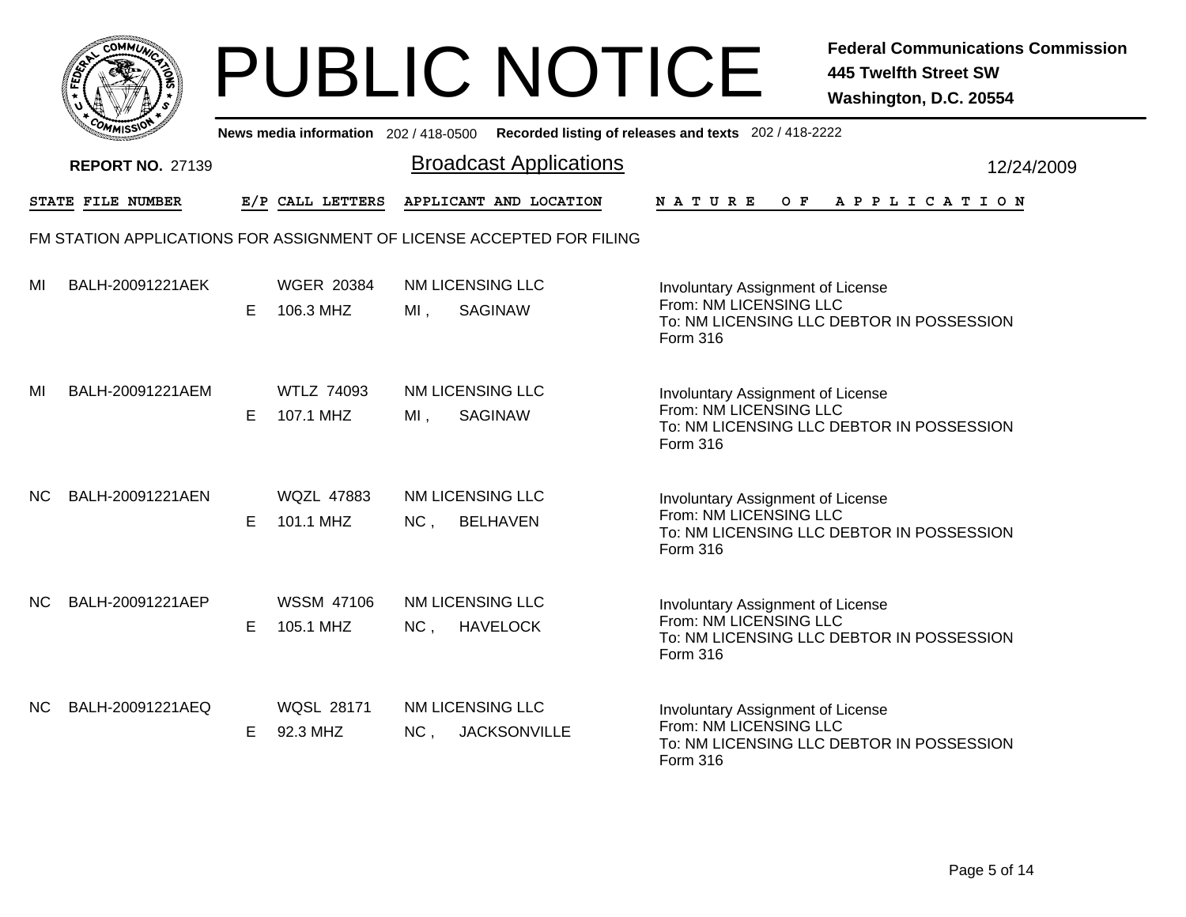|              | <b>MMUNA</b><br>CQ |  |
|--------------|--------------------|--|
| <b>FEDET</b> | ্ব                 |  |
|              |                    |  |
|              | ι.,<br>MISS'       |  |

|     | יככון אידי                                                            |   |                                |                                     |                               | News media information 202/418-0500 Recorded listing of releases and texts 202/418-2222                                     |
|-----|-----------------------------------------------------------------------|---|--------------------------------|-------------------------------------|-------------------------------|-----------------------------------------------------------------------------------------------------------------------------|
|     | <b>REPORT NO. 27139</b>                                               |   |                                |                                     | <b>Broadcast Applications</b> | 12/24/2009                                                                                                                  |
|     | STATE FILE NUMBER                                                     |   | E/P CALL LETTERS               |                                     | APPLICANT AND LOCATION        | <b>NATURE</b><br>O F<br>A P P L I C A T I O N                                                                               |
|     | FM STATION APPLICATIONS FOR ASSIGNMENT OF LICENSE ACCEPTED FOR FILING |   |                                |                                     |                               |                                                                                                                             |
| MI  | BALH-20091221AEK                                                      | Е | <b>WGER 20384</b><br>106.3 MHZ | <b>NM LICENSING LLC</b><br>$MI$ ,   | <b>SAGINAW</b>                | Involuntary Assignment of License<br>From: NM LICENSING LLC<br>To: NM LICENSING LLC DEBTOR IN POSSESSION<br>Form 316        |
| MI  | BALH-20091221AEM                                                      | Е | <b>WTLZ 74093</b><br>107.1 MHZ | NM LICENSING LLC<br>$MI$ ,          | <b>SAGINAW</b>                | Involuntary Assignment of License<br>From: NM LICENSING LLC<br>To: NM LICENSING LLC DEBTOR IN POSSESSION<br><b>Form 316</b> |
| NC. | BALH-20091221AEN                                                      | Е | <b>WQZL 47883</b><br>101.1 MHZ | NM LICENSING LLC<br>NC,             | <b>BELHAVEN</b>               | Involuntary Assignment of License<br>From: NM LICENSING LLC<br>To: NM LICENSING LLC DEBTOR IN POSSESSION<br>Form 316        |
| NC. | BALH-20091221AEP                                                      | Е | <b>WSSM 47106</b><br>105.1 MHZ | NM LICENSING LLC<br>NC,             | <b>HAVELOCK</b>               | Involuntary Assignment of License<br>From: NM LICENSING LLC<br>To: NM LICENSING LLC DEBTOR IN POSSESSION<br>Form 316        |
| NC. | BALH-20091221AEQ                                                      | Е | <b>WQSL 28171</b><br>92.3 MHZ  | NM LICENSING LLC<br>NC <sub>1</sub> | <b>JACKSONVILLE</b>           | Involuntary Assignment of License<br>From: NM LICENSING LLC<br>To: NM LICENSING LLC DEBTOR IN POSSESSION<br>Form 316        |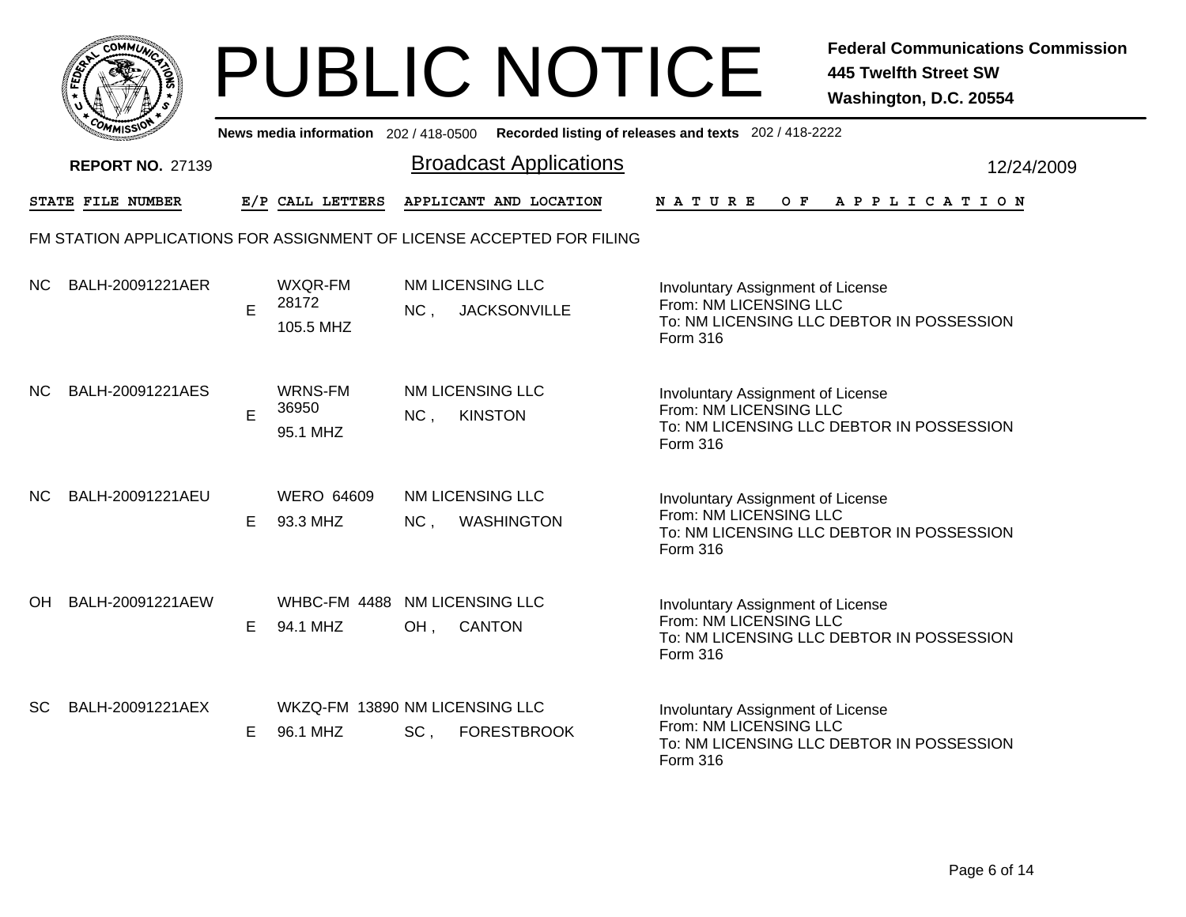|     | MMUNICT<br><b>CO</b> |  |
|-----|----------------------|--|
| ప్త |                      |  |
|     |                      |  |
|     | COM<br>MISS<br>m     |  |

|           | יככון איי                                                             |    |                                            |                                |                               | News media information 202/418-0500 Recorded listing of releases and texts 202/418-2222                              |  |
|-----------|-----------------------------------------------------------------------|----|--------------------------------------------|--------------------------------|-------------------------------|----------------------------------------------------------------------------------------------------------------------|--|
|           | <b>REPORT NO. 27139</b>                                               |    |                                            |                                | <b>Broadcast Applications</b> | 12/24/2009                                                                                                           |  |
|           | STATE FILE NUMBER                                                     |    | E/P CALL LETTERS                           |                                | APPLICANT AND LOCATION        | A P P L I C A T I O N<br><b>NATURE</b><br>O F                                                                        |  |
|           | FM STATION APPLICATIONS FOR ASSIGNMENT OF LICENSE ACCEPTED FOR FILING |    |                                            |                                |                               |                                                                                                                      |  |
| NC.       | BALH-20091221AER                                                      | E  | WXQR-FM<br>28172<br>105.5 MHZ              | NM LICENSING LLC<br>NC,        | <b>JACKSONVILLE</b>           | Involuntary Assignment of License<br>From: NM LICENSING LLC<br>To: NM LICENSING LLC DEBTOR IN POSSESSION<br>Form 316 |  |
| NC.       | BALH-20091221AES                                                      | E  | WRNS-FM<br>36950<br>95.1 MHZ               | NM LICENSING LLC<br>NC,        | <b>KINSTON</b>                | Involuntary Assignment of License<br>From: NM LICENSING LLC<br>To: NM LICENSING LLC DEBTOR IN POSSESSION<br>Form 316 |  |
| NC.       | BALH-20091221AEU                                                      | E. | <b>WERO 64609</b><br>93.3 MHZ              | <b>NM LICENSING LLC</b><br>NC, | <b>WASHINGTON</b>             | Involuntary Assignment of License<br>From: NM LICENSING LLC<br>To: NM LICENSING LLC DEBTOR IN POSSESSION<br>Form 316 |  |
| OH.       | BALH-20091221AEW                                                      | Е  | WHBC-FM 4488<br>94.1 MHZ                   | NM LICENSING LLC<br>$OH$ ,     | <b>CANTON</b>                 | Involuntary Assignment of License<br>From: NM LICENSING LLC<br>To: NM LICENSING LLC DEBTOR IN POSSESSION<br>Form 316 |  |
| <b>SC</b> | BALH-20091221AEX                                                      | E  | WKZQ-FM 13890 NM LICENSING LLC<br>96.1 MHZ | SC,                            | <b>FORESTBROOK</b>            | Involuntary Assignment of License<br>From: NM LICENSING LLC<br>To: NM LICENSING LLC DEBTOR IN POSSESSION<br>Form 316 |  |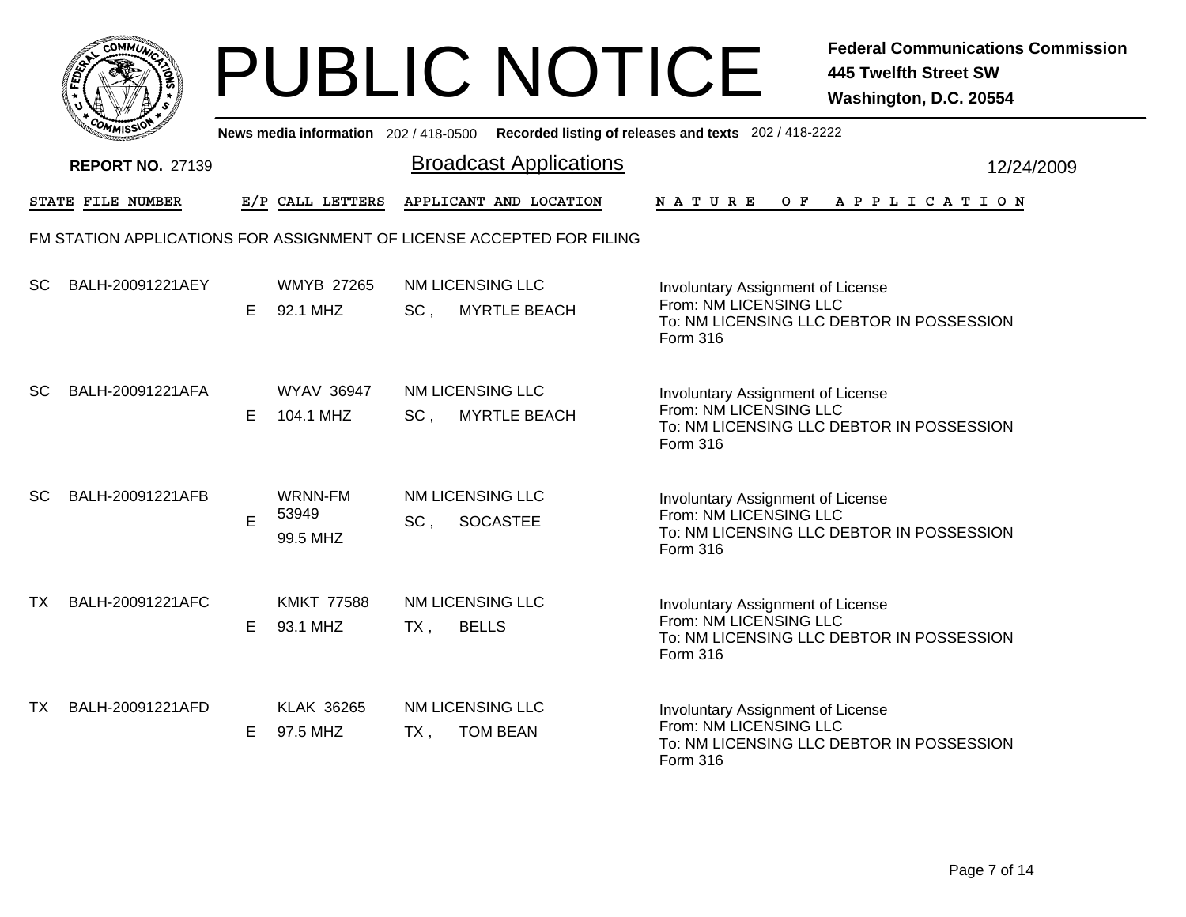|           | MMUNICT<br>ດ<br>Ċ,  |  |
|-----------|---------------------|--|
| ট্রু<br>c |                     |  |
|           |                     |  |
|           | COMI<br>MISS<br>--- |  |

|           | ככוואי                  |   |                                |                                                                       | News media information 202/418-0500 Recorded listing of releases and texts 202/418-2222                                     |
|-----------|-------------------------|---|--------------------------------|-----------------------------------------------------------------------|-----------------------------------------------------------------------------------------------------------------------------|
|           | <b>REPORT NO. 27139</b> |   |                                | <b>Broadcast Applications</b>                                         | 12/24/2009                                                                                                                  |
|           | STATE FILE NUMBER       |   | E/P CALL LETTERS               | APPLICANT AND LOCATION                                                | OF APPLICATION<br><b>NATURE</b>                                                                                             |
|           |                         |   |                                | FM STATION APPLICATIONS FOR ASSIGNMENT OF LICENSE ACCEPTED FOR FILING |                                                                                                                             |
| <b>SC</b> | BALH-20091221AEY        | Е | <b>WMYB 27265</b><br>92.1 MHZ  | NM LICENSING LLC<br>SC,<br><b>MYRTLE BEACH</b>                        | Involuntary Assignment of License<br>From: NM LICENSING LLC<br>To: NM LICENSING LLC DEBTOR IN POSSESSION<br>Form 316        |
| SC        | BALH-20091221AFA        | Е | <b>WYAV 36947</b><br>104.1 MHZ | NM LICENSING LLC<br><b>MYRTLE BEACH</b><br>SC <sub>1</sub>            | Involuntary Assignment of License<br>From: NM LICENSING LLC<br>To: NM LICENSING LLC DEBTOR IN POSSESSION<br>Form 316        |
| SC        | BALH-20091221AFB        | E | WRNN-FM<br>53949<br>99.5 MHZ   | NM LICENSING LLC<br>SC,<br><b>SOCASTEE</b>                            | Involuntary Assignment of License<br>From: NM LICENSING LLC<br>To: NM LICENSING LLC DEBTOR IN POSSESSION<br>Form 316        |
| ТX        | BALH-20091221AFC        | Е | <b>KMKT 77588</b><br>93.1 MHZ  | NM LICENSING LLC<br><b>BELLS</b><br>$TX$ ,                            | Involuntary Assignment of License<br>From: NM LICENSING LLC<br>To: NM LICENSING LLC DEBTOR IN POSSESSION<br><b>Form 316</b> |
| TX        | BALH-20091221AFD        | Е | <b>KLAK 36265</b><br>97.5 MHZ  | NM LICENSING LLC<br><b>TOM BEAN</b><br>$TX$ ,                         | Involuntary Assignment of License<br>From: NM LICENSING LLC<br>To: NM LICENSING LLC DEBTOR IN POSSESSION<br>Form 316        |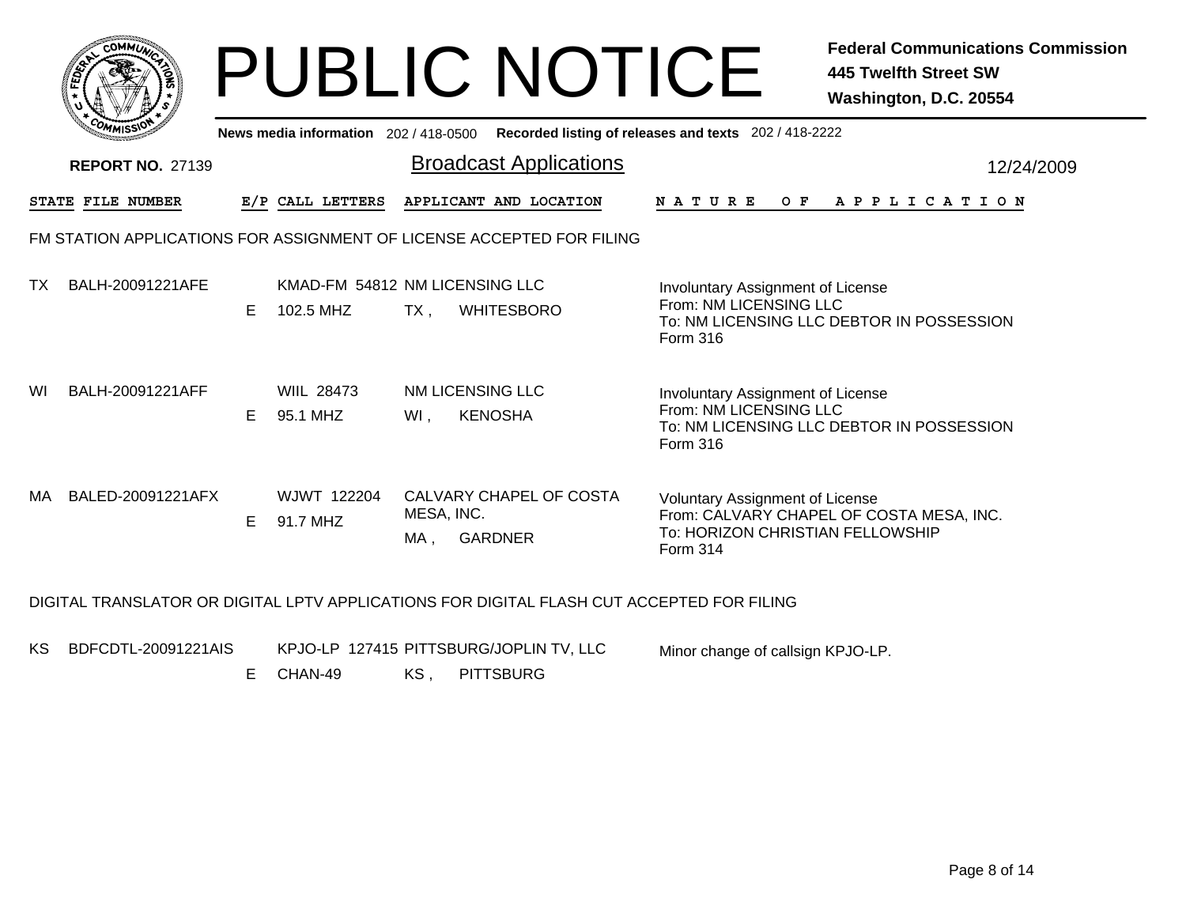|    | сомміл                  |    |                               | <b>PUBLIC NOTICE</b>                                                  |                                                                                               | <b>Federal Communications Commission</b><br><b>445 Twelfth Street SW</b><br>Washington, D.C. 20554 |
|----|-------------------------|----|-------------------------------|-----------------------------------------------------------------------|-----------------------------------------------------------------------------------------------|----------------------------------------------------------------------------------------------------|
|    |                         |    |                               |                                                                       | News media information 202 / 418-0500 Recorded listing of releases and texts 202 / 418-2222   |                                                                                                    |
|    | <b>REPORT NO. 27139</b> |    |                               | <b>Broadcast Applications</b>                                         |                                                                                               | 12/24/2009                                                                                         |
|    | STATE FILE NUMBER       |    | E/P CALL LETTERS              | APPLICANT AND LOCATION                                                |                                                                                               | NATURE OF APPLICATION                                                                              |
|    |                         |    |                               | FM STATION APPLICATIONS FOR ASSIGNMENT OF LICENSE ACCEPTED FOR FILING |                                                                                               |                                                                                                    |
| TX | BALH-20091221AFE        | E  | 102.5 MHZ                     | KMAD-FM 54812 NM LICENSING LLC<br>$TX$ .<br><b>WHITESBORO</b>         | Involuntary Assignment of License<br>From: NM LICENSING LLC<br>Form 316                       | To: NM LICENSING LLC DEBTOR IN POSSESSION                                                          |
| WI | BALH-20091221AFF        | E. | <b>WIIL 28473</b><br>95.1 MHZ | NM LICENSING LLC<br><b>KENOSHA</b><br>Wl,                             | Involuntary Assignment of License<br>From: NM LICENSING LLC<br>Form 316                       | To: NM LICENSING LLC DEBTOR IN POSSESSION                                                          |
| MA | BALED-20091221AFX       | E  | WJWT 122204<br>91.7 MHZ       | CALVARY CHAPEL OF COSTA<br>MESA, INC.<br><b>GARDNER</b><br>MA ,       | <b>Voluntary Assignment of License</b><br>To: HORIZON CHRISTIAN FELLOWSHIP<br><b>Form 314</b> | From: CALVARY CHAPEL OF COSTA MESA, INC.                                                           |
|    |                         |    |                               |                                                                       | DIGITAL TRANSLATOR OR DIGITAL LPTV APPLICATIONS FOR DIGITAL FLASH CUT ACCEPTED FOR FILING     |                                                                                                    |

KS BDFCDTL-20091221AIS

KPJO-LP 127415 PITTSBURG/JOPLIN TV, LLC

Minor change of callsign KPJO-LP.

KS , PITTSBURG E CHAN-49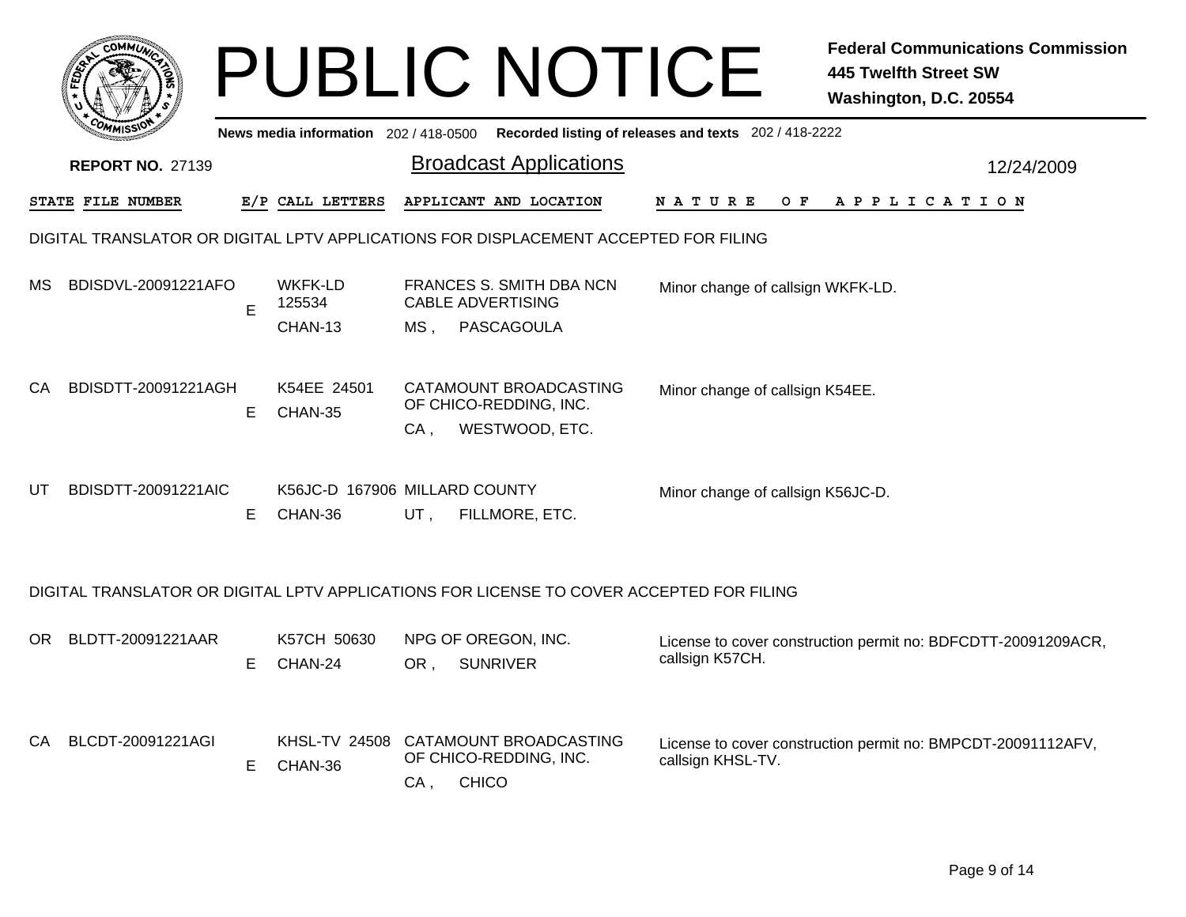|     |                                                                                      |    |                                          |        | <b>PUBLIC NOTICE</b>                                                                     |                                                       | <b>Federal Communications Commission</b><br><b>445 Twelfth Street SW</b><br>Washington, D.C. 20554 |  |  |  |  |  |
|-----|--------------------------------------------------------------------------------------|----|------------------------------------------|--------|------------------------------------------------------------------------------------------|-------------------------------------------------------|----------------------------------------------------------------------------------------------------|--|--|--|--|--|
|     |                                                                                      |    | News media information 202 / 418-0500    |        |                                                                                          | Recorded listing of releases and texts 202 / 418-2222 |                                                                                                    |  |  |  |  |  |
|     | <b>REPORT NO. 27139</b>                                                              |    |                                          |        | <b>Broadcast Applications</b>                                                            |                                                       | 12/24/2009                                                                                         |  |  |  |  |  |
|     | STATE FILE NUMBER                                                                    |    | E/P CALL LETTERS                         |        | APPLICANT AND LOCATION                                                                   | <b>NATURE</b><br>O F                                  | A P P L I C A T I O N                                                                              |  |  |  |  |  |
|     | DIGITAL TRANSLATOR OR DIGITAL LPTV APPLICATIONS FOR DISPLACEMENT ACCEPTED FOR FILING |    |                                          |        |                                                                                          |                                                       |                                                                                                    |  |  |  |  |  |
| MS  | BDISDVL-20091221AFO                                                                  | E  | WKFK-LD<br>125534<br>CHAN-13             | MS ,   | <b>FRANCES S. SMITH DBA NCN</b><br><b>CABLE ADVERTISING</b><br>PASCAGOULA                | Minor change of callsign WKFK-LD.                     |                                                                                                    |  |  |  |  |  |
| CA. | BDISDTT-20091221AGH                                                                  | Е  | K54EE 24501<br>CHAN-35                   | $CA$ , | CATAMOUNT BROADCASTING<br>OF CHICO-REDDING, INC.<br>WESTWOOD, ETC.                       | Minor change of callsign K54EE.                       |                                                                                                    |  |  |  |  |  |
| UT  | BDISDTT-20091221AIC                                                                  | E. | K56JC-D 167906 MILLARD COUNTY<br>CHAN-36 | UT,    | FILLMORE, ETC.                                                                           | Minor change of callsign K56JC-D.                     |                                                                                                    |  |  |  |  |  |
|     |                                                                                      |    |                                          |        | DIGITAL TRANSLATOR OR DIGITAL LPTV APPLICATIONS FOR LICENSE TO COVER ACCEPTED FOR FILING |                                                       |                                                                                                    |  |  |  |  |  |
| OR. | BLDTT-20091221AAR                                                                    | Е  | K57CH 50630<br>CHAN-24                   | OR,    | NPG OF OREGON, INC.<br><b>SUNRIVER</b>                                                   | callsign K57CH.                                       | License to cover construction permit no: BDFCDTT-20091209ACR,                                      |  |  |  |  |  |
| CA. | BLCDT-20091221AGI                                                                    | E  | CHAN-36                                  | $CA$ , | KHSL-TV 24508 CATAMOUNT BROADCASTING<br>OF CHICO-REDDING, INC.<br><b>CHICO</b>           | callsign KHSL-TV.                                     | License to cover construction permit no: BMPCDT-20091112AFV,                                       |  |  |  |  |  |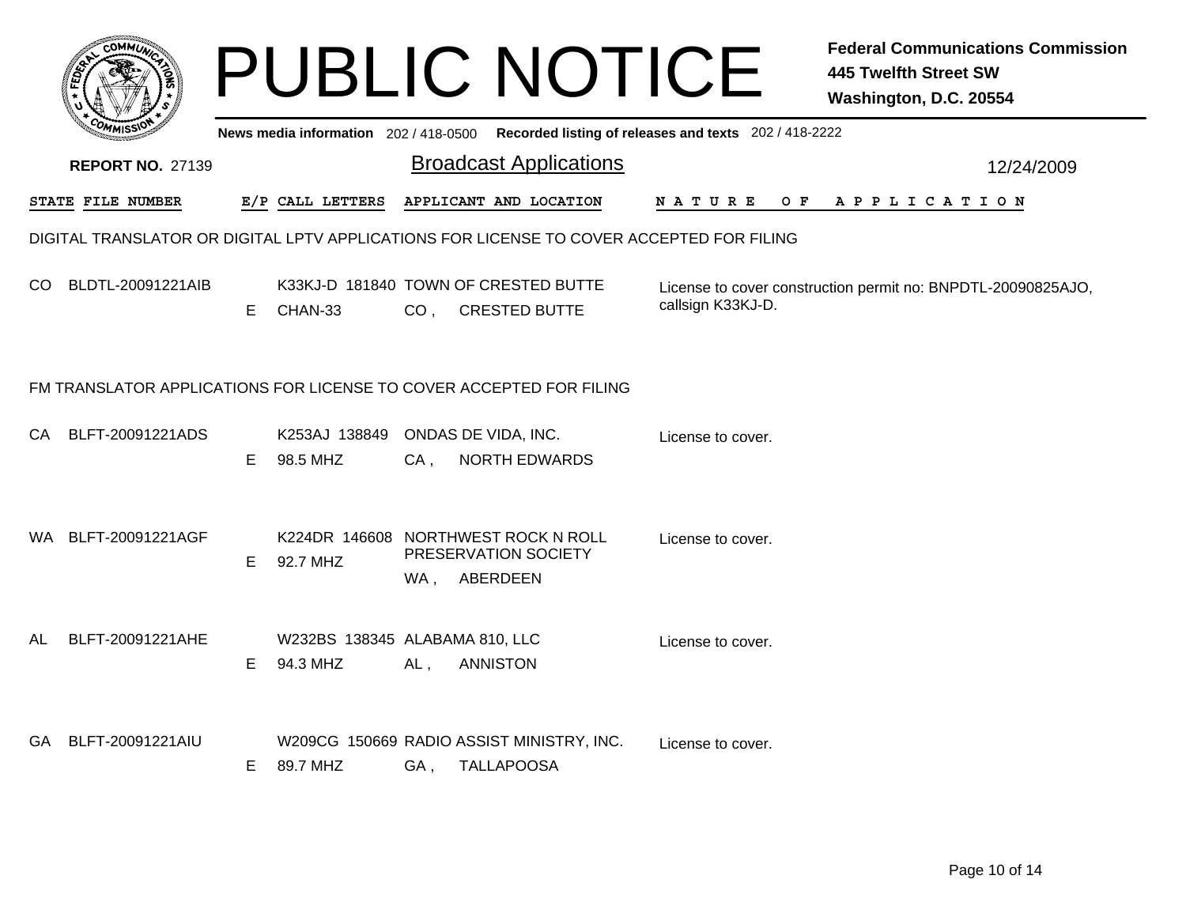|     |                                                                     |    |                                                 |                 | PUBLIC NOTICE                                                           | Fe<br>44<br>W:                                                                           |
|-----|---------------------------------------------------------------------|----|-------------------------------------------------|-----------------|-------------------------------------------------------------------------|------------------------------------------------------------------------------------------|
|     | <b>REPORT NO. 27139</b>                                             |    | News media information 202 / 418-0500           |                 | <b>Broadcast Applications</b>                                           | Recorded listing of releases and texts 202 / 418-2222                                    |
|     | STATE FILE NUMBER                                                   |    | E/P CALL LETTERS                                |                 | APPLICANT AND LOCATION                                                  | O F<br>N A T U R E<br>А                                                                  |
|     |                                                                     |    |                                                 |                 |                                                                         | DIGITAL TRANSLATOR OR DIGITAL LPTV APPLICATIONS FOR LICENSE TO COVER ACCEPTED FOR FILING |
| CO. | BLDTL-20091221AIB                                                   | E  | K33KJ-D 181840 TOWN OF CRESTED BUTTE<br>CHAN-33 | CO <sub>1</sub> | <b>CRESTED BUTTE</b>                                                    | License to cover constructio<br>callsign K33KJ-D.                                        |
|     | FM TRANSLATOR APPLICATIONS FOR LICENSE TO COVER ACCEPTED FOR FILING |    |                                                 |                 |                                                                         |                                                                                          |
| CA  | BLFT-20091221ADS                                                    | E. | K253AJ 138849 ONDAS DE VIDA, INC.<br>98.5 MHZ   | CA,             | <b>NORTH EDWARDS</b>                                                    | License to cover.                                                                        |
|     | WA BLFT-20091221AGF                                                 | F. | 92.7 MHZ                                        | WA.             | K224DR 146608 NORTHWEST ROCK N ROLL<br>PRESERVATION SOCIETY<br>ABERDEEN | License to cover.                                                                        |

|     | <b>REPORT NO. 27139</b>                                             |    |                                            |        | <b>Broadcast Applications</b>                                                            | 12/24/2009                                                                        |  |  |  |  |  |  |
|-----|---------------------------------------------------------------------|----|--------------------------------------------|--------|------------------------------------------------------------------------------------------|-----------------------------------------------------------------------------------|--|--|--|--|--|--|
|     | STATE FILE NUMBER                                                   |    | E/P CALL LETTERS                           |        | APPLICANT AND LOCATION                                                                   | NATURE OF APPLICATION                                                             |  |  |  |  |  |  |
|     |                                                                     |    |                                            |        | DIGITAL TRANSLATOR OR DIGITAL LPTV APPLICATIONS FOR LICENSE TO COVER ACCEPTED FOR FILING |                                                                                   |  |  |  |  |  |  |
| CO. | BLDTL-20091221AIB                                                   | E. | CHAN-33                                    |        | K33KJ-D 181840 TOWN OF CRESTED BUTTE<br>CO, CRESTED BUTTE                                | License to cover construction permit no: BNPDTL-20090825AJO,<br>callsign K33KJ-D. |  |  |  |  |  |  |
|     | FM TRANSLATOR APPLICATIONS FOR LICENSE TO COVER ACCEPTED FOR FILING |    |                                            |        |                                                                                          |                                                                                   |  |  |  |  |  |  |
|     | CA BLFT-20091221ADS                                                 | E. | K253AJ 138849<br>98.5 MHZ                  | $CA$ , | ONDAS DE VIDA, INC.<br><b>NORTH EDWARDS</b>                                              | License to cover.                                                                 |  |  |  |  |  |  |
|     | WA BLFT-20091221AGF                                                 | E. | 92.7 MHZ                                   | WA,    | K224DR 146608 NORTHWEST ROCK N ROLL<br>PRESERVATION SOCIETY<br>ABERDEEN                  | License to cover.                                                                 |  |  |  |  |  |  |
| AL  | BLFT-20091221AHE                                                    | E. | W232BS 138345 ALABAMA 810, LLC<br>94.3 MHZ | $AL$ , | <b>ANNISTON</b>                                                                          | License to cover.                                                                 |  |  |  |  |  |  |
| GA  | BLFT-20091221AIU                                                    | E. | 89.7 MHZ                                   | GA,    | W209CG 150669 RADIO ASSIST MINISTRY, INC.<br><b>TALLAPOOSA</b>                           | License to cover.                                                                 |  |  |  |  |  |  |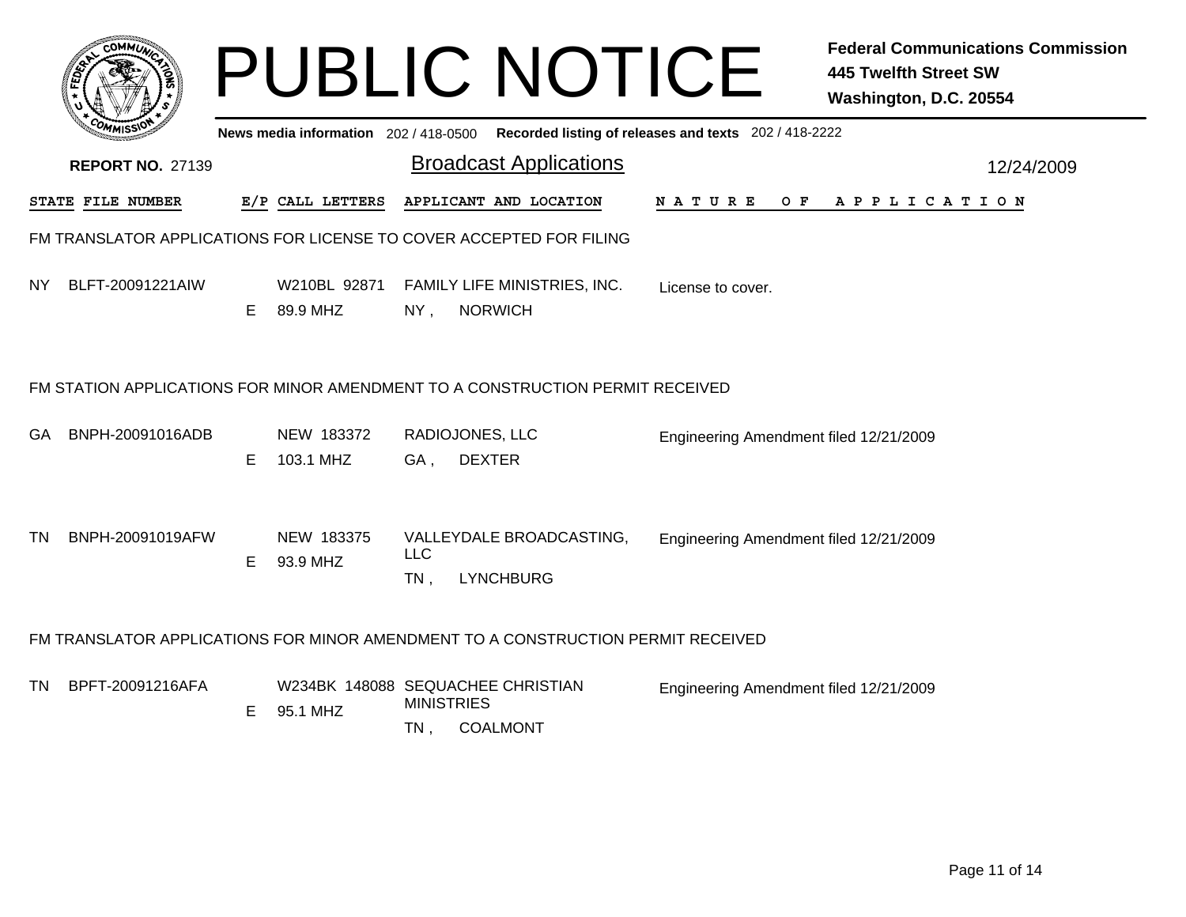|     |                                                                     |    | News media information 202/418-0500 |                             | <b>PUBLIC NOTICE</b>                                                             | Recorded listing of releases and texts 202 / 418-2222 | <b>Federal Communications Commission</b><br><b>445 Twelfth Street SW</b><br>Washington, D.C. 20554 |
|-----|---------------------------------------------------------------------|----|-------------------------------------|-----------------------------|----------------------------------------------------------------------------------|-------------------------------------------------------|----------------------------------------------------------------------------------------------------|
|     | <b>REPORT NO. 27139</b>                                             |    |                                     |                             | <b>Broadcast Applications</b>                                                    |                                                       | 12/24/2009                                                                                         |
|     | STATE FILE NUMBER                                                   |    | E/P CALL LETTERS                    |                             | APPLICANT AND LOCATION                                                           | N A T U R E<br>O F                                    | A P P L I C A T I O N                                                                              |
|     | FM TRANSLATOR APPLICATIONS FOR LICENSE TO COVER ACCEPTED FOR FILING |    |                                     |                             |                                                                                  |                                                       |                                                                                                    |
| NY. | BLFT-20091221AIW                                                    | E. | W210BL 92871<br>89.9 MHZ            | $NY$ ,                      | FAMILY LIFE MINISTRIES, INC.<br><b>NORWICH</b>                                   | License to cover.                                     |                                                                                                    |
|     |                                                                     |    |                                     |                             | FM STATION APPLICATIONS FOR MINOR AMENDMENT TO A CONSTRUCTION PERMIT RECEIVED    |                                                       |                                                                                                    |
| GA. | BNPH-20091016ADB                                                    | E. | NEW 183372<br>103.1 MHZ             | GA,                         | RADIOJONES, LLC<br><b>DEXTER</b>                                                 | Engineering Amendment filed 12/21/2009                |                                                                                                    |
| TN  | BNPH-20091019AFW                                                    | E. | NEW 183375<br>93.9 MHZ              | <b>LLC</b><br>$TN$ ,        | VALLEYDALE BROADCASTING,<br><b>LYNCHBURG</b>                                     | Engineering Amendment filed 12/21/2009                |                                                                                                    |
|     |                                                                     |    |                                     |                             | FM TRANSLATOR APPLICATIONS FOR MINOR AMENDMENT TO A CONSTRUCTION PERMIT RECEIVED |                                                       |                                                                                                    |
| TN. | BPFT-20091216AFA                                                    | E. | 95.1 MHZ                            | <b>MINISTRIES</b><br>$TN$ , | W234BK 148088 SEQUACHEE CHRISTIAN<br><b>COALMONT</b>                             | Engineering Amendment filed 12/21/2009                |                                                                                                    |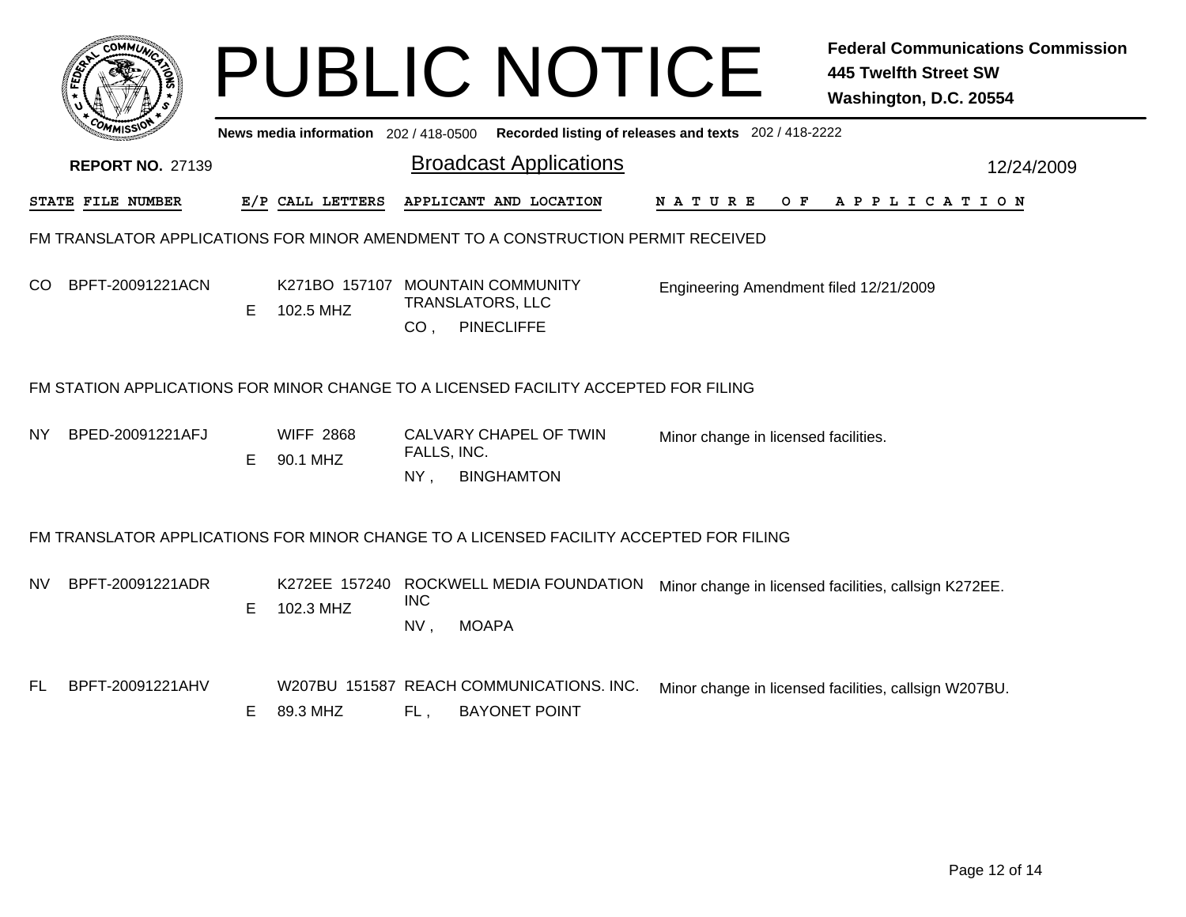|     |                                                                                     |    |                                       |                       | <b>PUBLIC NOTICE</b>                                                                   |                                                       | <b>Federal Communications Commission</b><br><b>445 Twelfth Street SW</b><br>Washington, D.C. 20554 |  |  |  |  |  |  |
|-----|-------------------------------------------------------------------------------------|----|---------------------------------------|-----------------------|----------------------------------------------------------------------------------------|-------------------------------------------------------|----------------------------------------------------------------------------------------------------|--|--|--|--|--|--|
|     |                                                                                     |    | News media information 202 / 418-0500 |                       |                                                                                        | Recorded listing of releases and texts 202 / 418-2222 |                                                                                                    |  |  |  |  |  |  |
|     | <b>REPORT NO. 27139</b>                                                             |    |                                       |                       | <b>Broadcast Applications</b>                                                          |                                                       | 12/24/2009                                                                                         |  |  |  |  |  |  |
|     | STATE FILE NUMBER                                                                   |    | E/P CALL LETTERS                      |                       | APPLICANT AND LOCATION                                                                 |                                                       | NATURE OF APPLICATION                                                                              |  |  |  |  |  |  |
|     | FM TRANSLATOR APPLICATIONS FOR MINOR AMENDMENT TO A CONSTRUCTION PERMIT RECEIVED    |    |                                       |                       |                                                                                        |                                                       |                                                                                                    |  |  |  |  |  |  |
| CO. | BPFT-20091221ACN                                                                    | E. | 102.5 MHZ                             | CO <sub>1</sub>       | K271BO 157107 MOUNTAIN COMMUNITY<br><b>TRANSLATORS, LLC</b><br><b>PINECLIFFE</b>       | Engineering Amendment filed 12/21/2009                |                                                                                                    |  |  |  |  |  |  |
|     | FM STATION APPLICATIONS FOR MINOR CHANGE TO A LICENSED FACILITY ACCEPTED FOR FILING |    |                                       |                       |                                                                                        |                                                       |                                                                                                    |  |  |  |  |  |  |
| NY. | BPED-20091221AFJ                                                                    | E. | <b>WIFF 2868</b><br>90.1 MHZ          | FALLS, INC.<br>$NY$ , | CALVARY CHAPEL OF TWIN<br><b>BINGHAMTON</b>                                            | Minor change in licensed facilities.                  |                                                                                                    |  |  |  |  |  |  |
|     |                                                                                     |    |                                       |                       | FM TRANSLATOR APPLICATIONS FOR MINOR CHANGE TO A LICENSED FACILITY ACCEPTED FOR FILING |                                                       |                                                                                                    |  |  |  |  |  |  |
| NV. | BPFT-20091221ADR                                                                    | E. | 102.3 MHZ                             | <b>INC</b><br>NV,     | K272EE 157240 ROCKWELL MEDIA FOUNDATION<br><b>MOAPA</b>                                |                                                       | Minor change in licensed facilities, callsign K272EE.                                              |  |  |  |  |  |  |
| FL  | BPFT-20091221AHV                                                                    | E  | 89.3 MHZ                              | FL,                   | W207BU 151587 REACH COMMUNICATIONS. INC.<br><b>BAYONET POINT</b>                       |                                                       | Minor change in licensed facilities, callsign W207BU.                                              |  |  |  |  |  |  |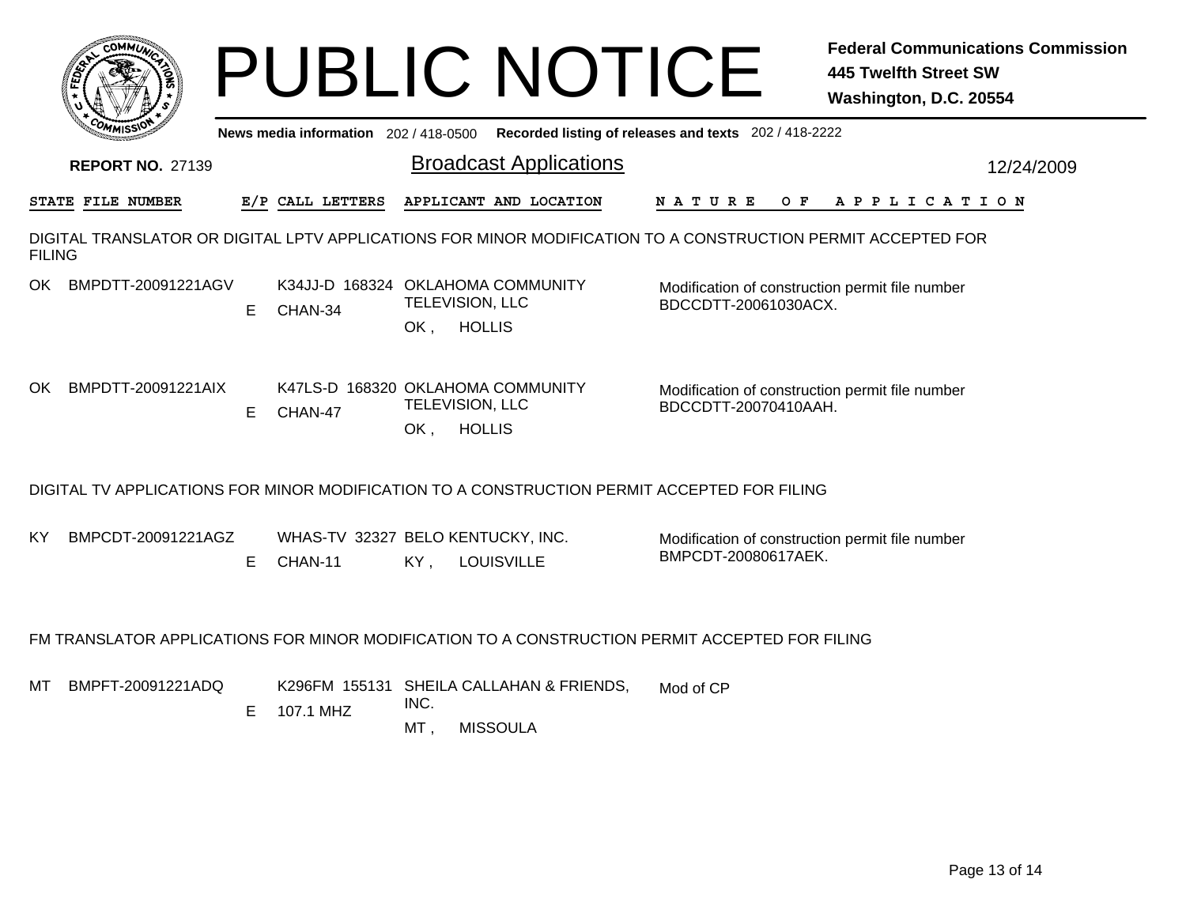|               |                         |    |                                              |                               | <b>PUBLIC NOTICE</b>                                        |                                                                                                              | <b>Federal Communications Commission</b><br><b>445 Twelfth Street SW</b><br>Washington, D.C. 20554 |
|---------------|-------------------------|----|----------------------------------------------|-------------------------------|-------------------------------------------------------------|--------------------------------------------------------------------------------------------------------------|----------------------------------------------------------------------------------------------------|
|               |                         |    | News media information 202/418-0500          |                               |                                                             | Recorded listing of releases and texts 202 / 418-2222                                                        |                                                                                                    |
|               | <b>REPORT NO. 27139</b> |    |                                              |                               | <b>Broadcast Applications</b>                               |                                                                                                              | 12/24/2009                                                                                         |
|               | STATE FILE NUMBER       |    | E/P CALL LETTERS                             |                               | APPLICANT AND LOCATION                                      | N A T U R E                                                                                                  | OF APPLICATION                                                                                     |
| <b>FILING</b> |                         |    |                                              |                               |                                                             | DIGITAL TRANSLATOR OR DIGITAL LPTV APPLICATIONS FOR MINOR MODIFICATION TO A CONSTRUCTION PERMIT ACCEPTED FOR |                                                                                                    |
|               | OK BMPDTT-20091221AGV   | E. | K34JJ-D 168324 OKLAHOMA COMMUNITY<br>CHAN-34 | TELEVISION, LLC<br>OK,        | <b>HOLLIS</b>                                               | Modification of construction permit file number<br>BDCCDTT-20061030ACX.                                      |                                                                                                    |
| OK            | BMPDTT-20091221AIX      | E. | K47LS-D 168320 OKLAHOMA COMMUNITY<br>CHAN-47 | <b>TELEVISION, LLC</b><br>OK, | <b>HOLLIS</b>                                               | Modification of construction permit file number<br>BDCCDTT-20070410AAH.                                      |                                                                                                    |
|               |                         |    |                                              |                               |                                                             | DIGITAL TV APPLICATIONS FOR MINOR MODIFICATION TO A CONSTRUCTION PERMIT ACCEPTED FOR FILING                  |                                                                                                    |
| KY.           | BMPCDT-20091221AGZ      | E. | WHAS-TV 32327 BELO KENTUCKY, INC.<br>CHAN-11 | KY,                           | <b>LOUISVILLE</b>                                           | Modification of construction permit file number<br>BMPCDT-20080617AEK.                                       |                                                                                                    |
|               |                         |    |                                              |                               |                                                             | FM TRANSLATOR APPLICATIONS FOR MINOR MODIFICATION TO A CONSTRUCTION PERMIT ACCEPTED FOR FILING               |                                                                                                    |
|               | MT BMPFT-20091221ADQ    |    | E 107.1 MHZ                                  | INC.<br>MT,                   | K296FM 155131 SHEILA CALLAHAN & FRIENDS,<br><b>MISSOULA</b> | Mod of CP                                                                                                    |                                                                                                    |
|               |                         |    |                                              |                               |                                                             |                                                                                                              |                                                                                                    |